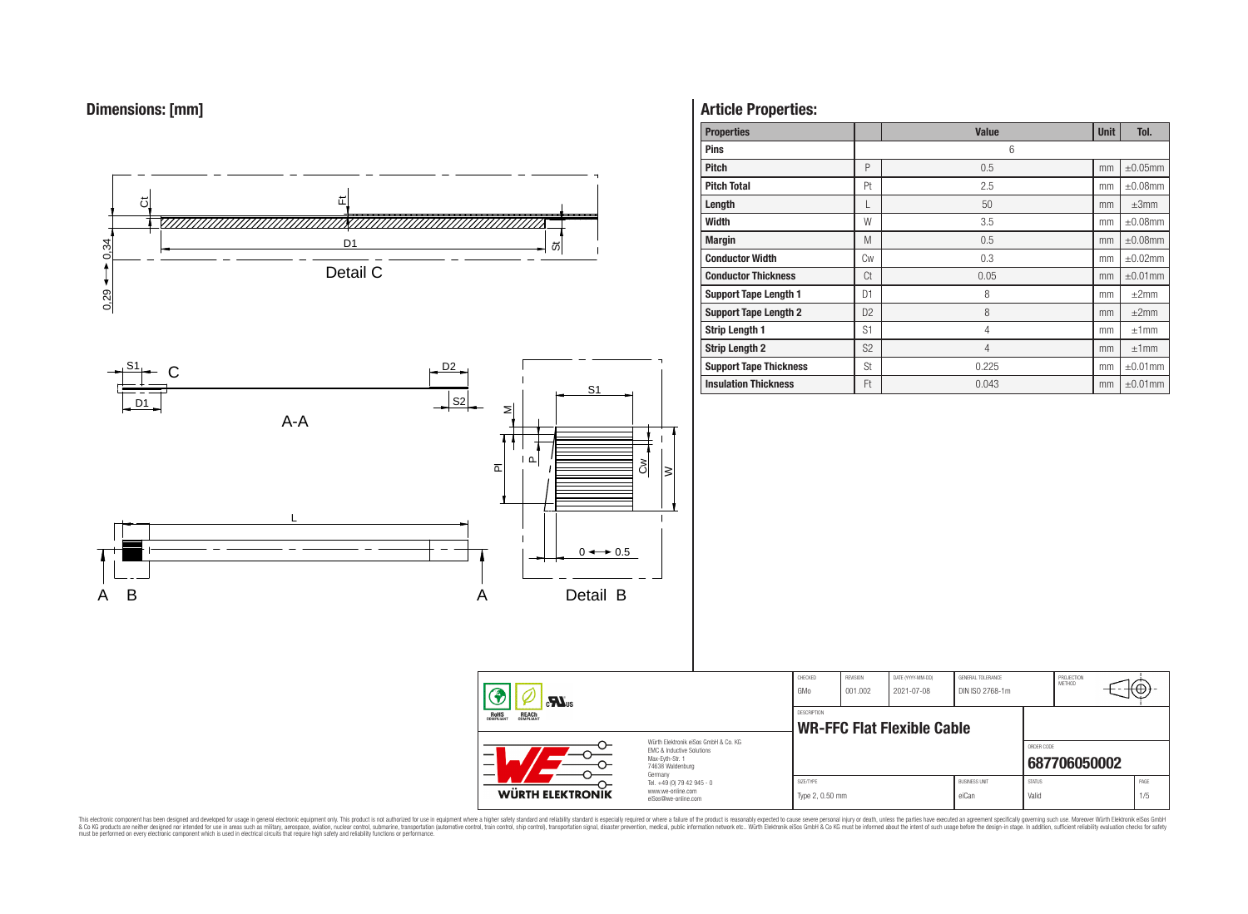



# **Article Properties:**

| <b>Properties</b>             |                | <b>Value</b>   | <b>Unit</b> | Tol.          |
|-------------------------------|----------------|----------------|-------------|---------------|
| <b>Pins</b>                   |                | 6              |             |               |
| <b>Pitch</b>                  | P              | 0.5            | mm          | $\pm 0.05$ mm |
| <b>Pitch Total</b>            | Pt             | 2.5            | mm          | $\pm 0.08$ mm |
| Length                        | L              | 50             | mm          | $\pm 3$ mm    |
| <b>Width</b>                  | W              | 3.5            | mm          | $\pm 0.08$ mm |
| <b>Margin</b>                 | M              | 0.5            | mm          | $\pm 0.08$ mm |
| <b>Conductor Width</b>        | Cw             | 0.3            | mm          | $\pm 0.02$ mm |
| <b>Conductor Thickness</b>    | Ct             | 0.05           | mm          | $\pm 0.01$ mm |
| <b>Support Tape Length 1</b>  | D1             | 8              | mm          | $\pm 2$ mm    |
| <b>Support Tape Length 2</b>  | D <sub>2</sub> | 8              | mm          | ±2mm          |
| <b>Strip Length 1</b>         | S <sub>1</sub> | $\overline{4}$ | mm          | ±1mm          |
| <b>Strip Length 2</b>         | S <sub>2</sub> | $\overline{4}$ | mm          | ±1mm          |
| <b>Support Tape Thickness</b> | St             | 0.225          | mm          | $\pm 0.01$ mm |
| <b>Insulation Thickness</b>   | Ft             | 0.043          | mm          | $\pm 0.01$ mm |

CHECKED REVISION DATE (YYYY-MM-DD) GENERAL TOLERANCE

**WR-FFC Flat Flexible Cable** 

DESCRIPTION

GMo 001.002 2021-07-08 DIN ISO 2768-1m

PROJECTION<br>METHOD

 $f - \theta$ 

ORDER CODE

|                                                                                                                                                                                                                                                                                                                                                                                                                                                                                                                                                         | <b>WURTH ELEKTRONIK</b> | Max-Evth-Str. 1<br>74638 Waldenburg<br>German<br>Tel. +49 (0) 79 42 945 - 0<br>www.we-online.com<br>eiSos@we-online.com |                              | 687706050002                  |                        |             |
|---------------------------------------------------------------------------------------------------------------------------------------------------------------------------------------------------------------------------------------------------------------------------------------------------------------------------------------------------------------------------------------------------------------------------------------------------------------------------------------------------------------------------------------------------------|-------------------------|-------------------------------------------------------------------------------------------------------------------------|------------------------------|-------------------------------|------------------------|-------------|
|                                                                                                                                                                                                                                                                                                                                                                                                                                                                                                                                                         |                         |                                                                                                                         | SIZE/TYPE<br>Type 2, 0.50 mm | <b>BUSINESS UNIT</b><br>eiCan | <b>STATUS</b><br>Valio | PAGE<br>1/5 |
| sage in general electronic equipment only. This product is not authorized for use in equipment where a higher safety standard and reliability standard is especially required or where a failure of the product is reasonably<br>as such as military, aerospace, aviation, nuclear control, submarine, transportation (automotive control, train control, ship control), transportation signal, disaster prevention, medical, public information network etc<br>n electrical circuits that require high safety and reliability functions or performance |                         |                                                                                                                         |                              |                               |                        |             |

This electronic component has been designed and developed for usage in general electronic equipment only. This product is not authorized for subserved requipment where a higher selection equipment where a higher selection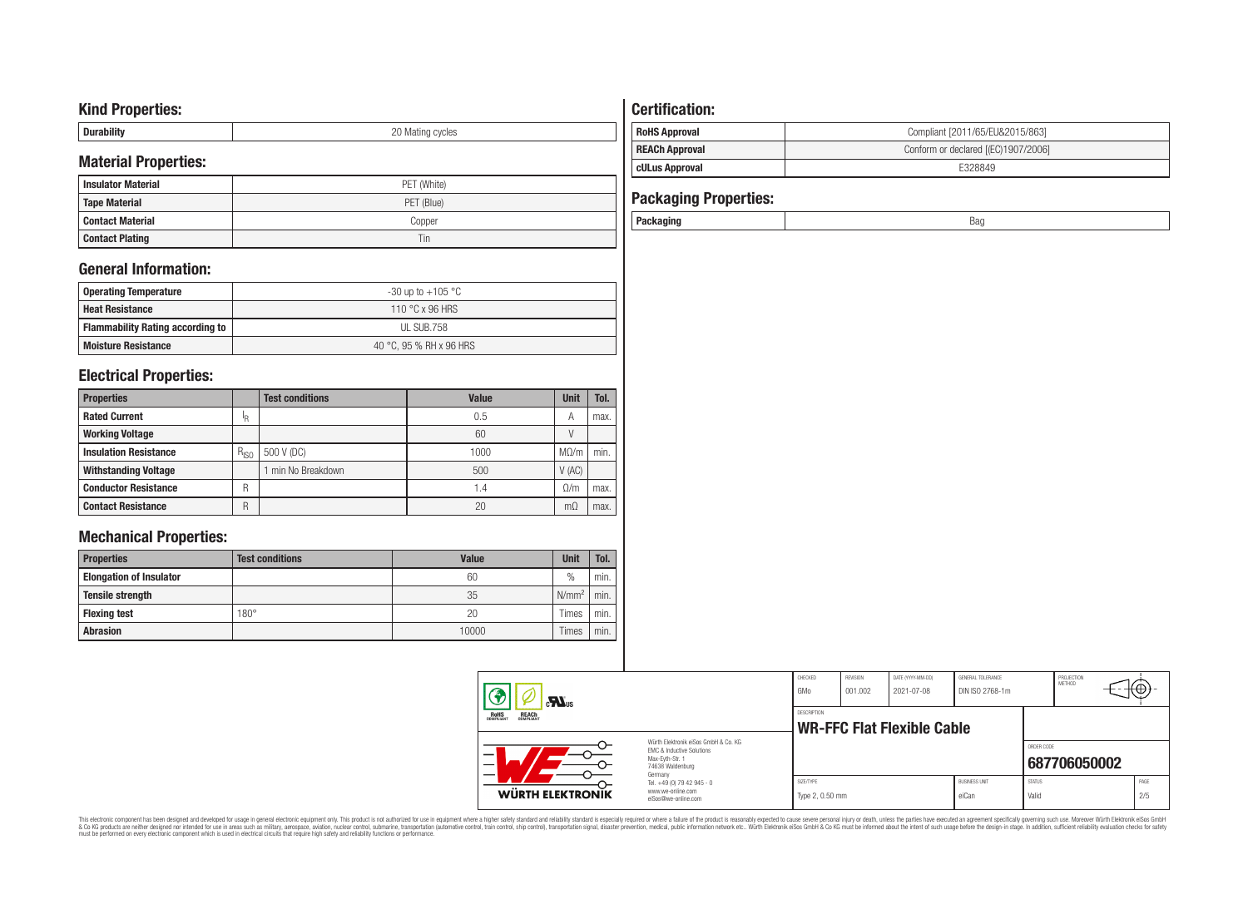# **Kind Properties:**

| --------- | nr<br>'atıng cycles<br>◡ |
|-----------|--------------------------|

# **Material Properties:**

| <b>Insulator Material</b> | PET (White) |
|---------------------------|-------------|
| <b>Tape Material</b>      | PET (Blue)  |
| Contact Material          | Copper      |
| <b>Contact Plating</b>    | Tin         |

# **General Information:**

| Operating Temperature                   | -30 up to $+105\text{ °C}$ |
|-----------------------------------------|----------------------------|
| <b>Heat Resistance</b>                  | 110 °C x 96 HRS            |
| <b>Flammability Rating according to</b> | UL SUB.758                 |
| <b>Moisture Resistance</b>              | 40 °C. 95 % RH x 96 HRS    |

# **Electrical Properties:**

| <b>Properties</b>            |           | <b>Test conditions</b> | <b>Value</b>    | <b>Unit</b> | Tol. |
|------------------------------|-----------|------------------------|-----------------|-------------|------|
| <b>Rated Current</b>         | ΙR        |                        | 0.5             | А           | max. |
| <b>Working Voltage</b>       |           |                        | 60              |             |      |
| <b>Insulation Resistance</b> | $R_{ISO}$ | 500 V (DC)             | 1000            | $M\Omega/m$ | min. |
| <b>Withstanding Voltage</b>  |           | min No Breakdown       | 500             | V(AC)       |      |
| <b>Conductor Resistance</b>  | R         |                        | $\mathsf{I}$ .4 | 0/m         | max. |
| <b>Contact Resistance</b>    | R         |                        | 20              | mΩ          | max. |

# **Mechanical Properties:**

| <b>Properties</b>              | <b>Test conditions</b> | <b>Value</b> | <b>Unit</b>   | Tol. |
|--------------------------------|------------------------|--------------|---------------|------|
| <b>Elongation of Insulator</b> |                        | 60           | $\frac{0}{0}$ | min. |
| <b>Tensile strength</b>        |                        | 35           | $N/mm^2$      | min. |
| <b>Flexing test</b>            | $180^\circ$            | 20           | Times         | min. |
| <b>Abrasion</b>                |                        | 10000        | Times         | min. |

# **Certification:**

| <b>REACh Approval</b> | Conform or declared [(EC)1907/2006] |
|-----------------------|-------------------------------------|
| cULus Approval        | E328849                             |

| <b>Packaging Properties:</b> |     |
|------------------------------|-----|
| Packaging                    | Bao |

| $\mathbf{r}$                                                                                                        |  | CHECKED<br>GMo               | <b>REVISION</b><br>001.002 | DATE (YYYY-MM-DD)<br>2021-07-08 | GENERAL TOLERANCE<br>DIN ISO 2768-1m |                        | PROJECTION<br><b>METHOD</b> | πΨ          |
|---------------------------------------------------------------------------------------------------------------------|--|------------------------------|----------------------------|---------------------------------|--------------------------------------|------------------------|-----------------------------|-------------|
| <b>ROHS</b><br>COMPLIANT<br><b>REACH</b><br>COMPLIANT                                                               |  | DESCRIPTION                  |                            | WR-FFC Flat Flexible Cable      |                                      |                        |                             |             |
| Würth Elektronik eiSos GmbH & Co. KG<br>FMC & Inductive Solutions<br>Max-Eyth-Str. 1<br>74638 Waldenburg<br>Germany |  |                              |                            |                                 |                                      | ORDER CODE             | 687706050002                |             |
| Tel. +49 (0) 79 42 945 - 0<br>www.we-online.com<br>WÜRTH ELEKTRONIK<br>eiSos@we-online.com                          |  | SIZE/TYPE<br>Type 2, 0.50 mm |                            |                                 | <b>BUSINESS UNIT</b><br>eiCan        | <b>STATUS</b><br>Valid |                             | PAGE<br>2/5 |

This electronic component has been designed and developed for usage in general electronic equipment only. This product is not authorized for subserved requipment where a higher selection equipment where a higher selection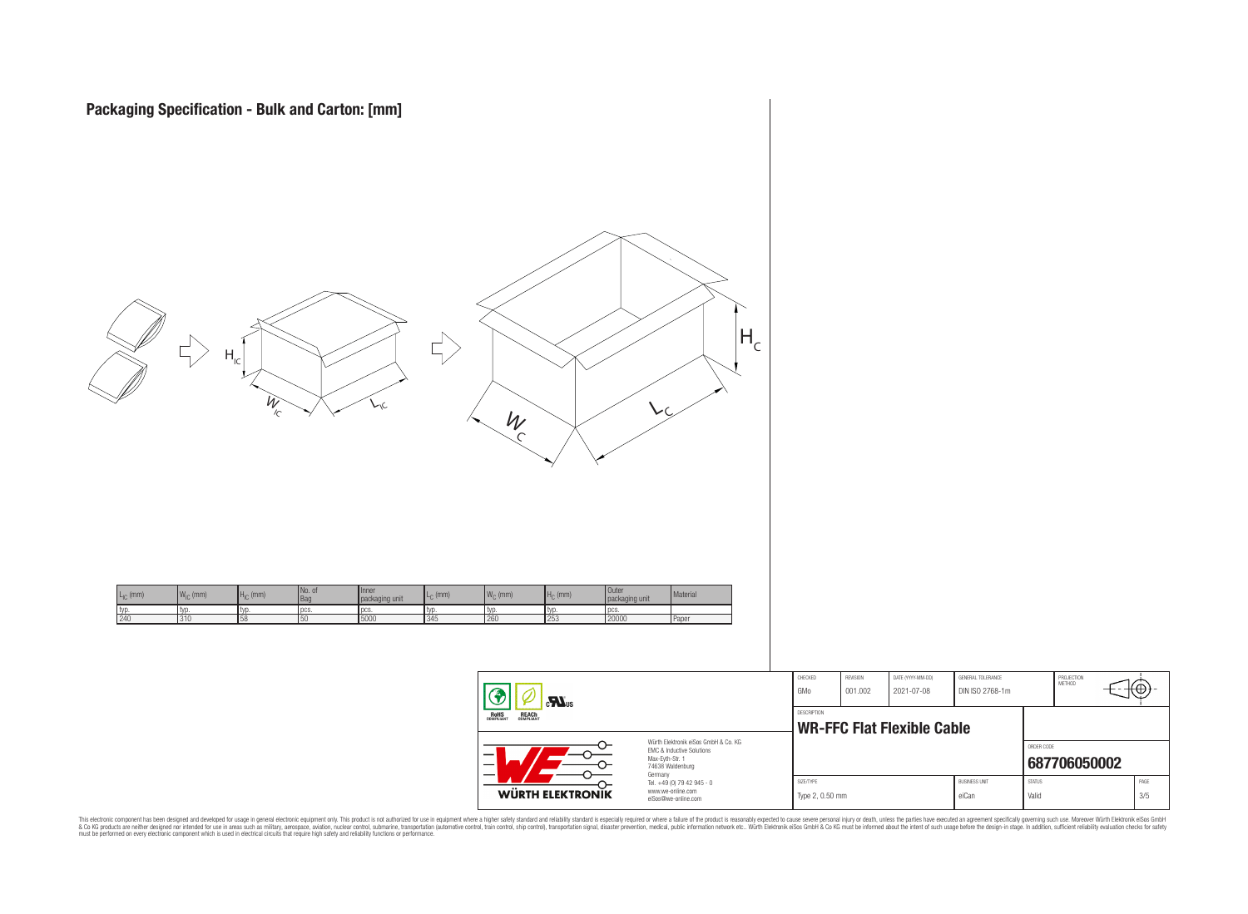

 $\equiv$ 

| <b>WÜRTH ELEKTRONIK</b>                    | www.we-online.com<br>eiSos@we-online.com                                                                 | Type 2, 0.50 mm    |          |                                   | eiCan                | Valid         |                      | 3/5   |
|--------------------------------------------|----------------------------------------------------------------------------------------------------------|--------------------|----------|-----------------------------------|----------------------|---------------|----------------------|-------|
|                                            | Germany<br>Tel. +49 (0) 79 42 945 - 0                                                                    | SIZE/TYPE          |          |                                   | <b>BUSINESS UNIT</b> | <b>STATUS</b> |                      | PAGE  |
|                                            | Würth Elektronik eiSos GmbH & Co. KG<br>EMC & Inductive Solutions<br>Max-Evth-Str. 1<br>74638 Waldenburg |                    |          |                                   |                      | ORDER CODE    | 687706050002         |       |
| OHS<br>Pliant<br><b>REACH</b><br>COMPLIANT |                                                                                                          | <b>DESCRIPTION</b> |          | <b>WR-FFC Flat Flexible Cable</b> |                      |               |                      |       |
| Ð<br>$\mathbf{M}$ <sub>us</sub>            |                                                                                                          | GMo                | 001.002  | 2021-07-08                        | DIN ISO 2768-1m      |               |                      | ⊤t⊕}- |
|                                            |                                                                                                          | CHECKED            | REVISION | DATE (YYYY-MM-DD)                 | GENERAL TOLERANCE    |               | PROJECTION<br>METHOD |       |

This electronic component has been designed and developed for usage in general electronic equipment only. This product is not authorized for subserved requipment where a higher selection equipment where a higher selection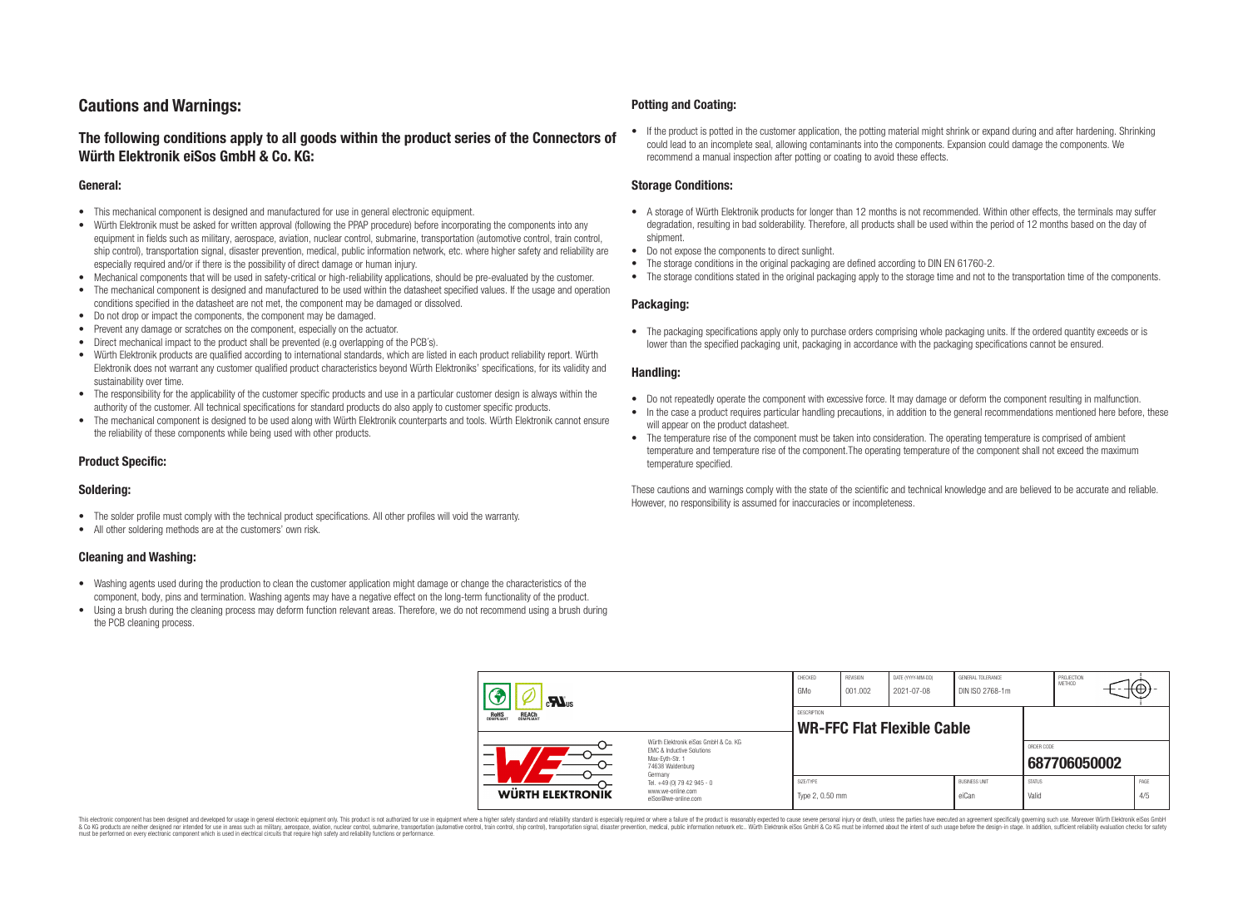# **Cautions and Warnings:**

# **The following conditions apply to all goods within the product series of the Connectors of Würth Elektronik eiSos GmbH & Co. KG:**

#### **General:**

- This mechanical component is designed and manufactured for use in general electronic equipment.
- Würth Elektronik must be asked for written approval (following the PPAP procedure) before incorporating the components into any equipment in fields such as military, aerospace, aviation, nuclear control, submarine, transportation (automotive control, train control, ship control), transportation signal, disaster prevention, medical, public information network, etc. where higher safety and reliability are especially required and/or if there is the possibility of direct damage or human injury.
- Mechanical components that will be used in safety-critical or high-reliability applications, should be pre-evaluated by the customer.
- The mechanical component is designed and manufactured to be used within the datasheet specified values. If the usage and operation conditions specified in the datasheet are not met, the component may be damaged or dissolved.
- Do not drop or impact the components, the component may be damaged.
- Prevent any damage or scratches on the component, especially on the actuator.
- Direct mechanical impact to the product shall be prevented (e.g overlapping of the PCB's).
- Würth Elektronik products are qualified according to international standards, which are listed in each product reliability report. Würth Elektronik does not warrant any customer qualified product characteristics beyond Würth Elektroniks' specifications, for its validity and sustainability over time.
- The responsibility for the applicability of the customer specific products and use in a particular customer design is always within the authority of the customer. All technical specifications for standard products do also apply to customer specific products.
- The mechanical component is designed to be used along with Würth Elektronik counterparts and tools. Würth Elektronik cannot ensure the reliability of these components while being used with other products.

#### **Product Specific:**

#### **Soldering:**

- The solder profile must comply with the technical product specifications. All other profiles will void the warranty.
- All other soldering methods are at the customers' own risk.

#### **Cleaning and Washing:**

- Washing agents used during the production to clean the customer application might damage or change the characteristics of the component, body, pins and termination. Washing agents may have a negative effect on the long-term functionality of the product.
- Using a brush during the cleaning process may deform function relevant areas. Therefore, we do not recommend using a brush during the PCB cleaning process.

#### **Potting and Coating:**

• If the product is potted in the customer application, the potting material might shrink or expand during and after hardening. Shrinking could lead to an incomplete seal, allowing contaminants into the components. Expansion could damage the components. We recommend a manual inspection after potting or coating to avoid these effects.

#### **Storage Conditions:**

- A storage of Würth Elektronik products for longer than 12 months is not recommended. Within other effects, the terminals may suffer degradation, resulting in bad solderability. Therefore, all products shall be used within the period of 12 months based on the day of shipment.
- Do not expose the components to direct sunlight.
- The storage conditions in the original packaging are defined according to DIN EN 61760-2.
- The storage conditions stated in the original packaging apply to the storage time and not to the transportation time of the components.

#### **Packaging:**

• The packaging specifications apply only to purchase orders comprising whole packaging units. If the ordered quantity exceeds or is lower than the specified packaging unit, packaging in accordance with the packaging specifications cannot be ensured.

#### **Handling:**

- Do not repeatedly operate the component with excessive force. It may damage or deform the component resulting in malfunction.
- In the case a product requires particular handling precautions, in addition to the general recommendations mentioned here before, these will appear on the product datasheet
- The temperature rise of the component must be taken into consideration. The operating temperature is comprised of ambient temperature and temperature rise of the component.The operating temperature of the component shall not exceed the maximum temperature specified.

These cautions and warnings comply with the state of the scientific and technical knowledge and are believed to be accurate and reliable. However, no responsibility is assumed for inaccuracies or incompleteness.

| $\sum_{s}$                                                                                                                    |                                                                        | CHECKED<br>GMo               | REVISION<br>001.002 | DATE (YYYY-MM-DD)<br>2021-07-08   | GENERAL TOLERANCE<br>DIN ISO 2768-1m |                        | PROJECTION<br>METHOD | ι₩          |
|-------------------------------------------------------------------------------------------------------------------------------|------------------------------------------------------------------------|------------------------------|---------------------|-----------------------------------|--------------------------------------|------------------------|----------------------|-------------|
| <b>ROHS</b><br>COMPLIANT<br><b>REACH</b><br>COMPLIANT                                                                         |                                                                        | DESCRIPTION                  |                     | <b>WR-FFC Flat Flexible Cable</b> |                                      |                        |                      |             |
| Würth Elektronik eiSos GmbH & Co. KG<br>EMC & Inductive Solutions<br>-<br>Max-Eyth-Str. 1<br>—<br>74638 Waldenburg<br>Germany |                                                                        |                              |                     |                                   |                                      | ORDER CODE             | 687706050002         |             |
| <b>WÜRTH ELEKTRONIK</b>                                                                                                       | Tel. +49 (0) 79 42 945 - 0<br>www.we-online.com<br>eiSos@we-online.com | SIZE/TYPE<br>Type 2, 0.50 mm |                     |                                   | <b>BUSINESS UNIT</b><br>eiCan        | <b>STATUS</b><br>Valid |                      | PAGE<br>4/5 |

This electronic component has been designed and developed for usage in general electronic equipment only. This product is not authorized for use in equipment where a higher safety standard and reliability standard si espec & Ook product a label and the membed of the seasuch as marked and as which such a membed and the such assume that income in the seasuch and the simulation and the such assume that include to the such a membed and the such